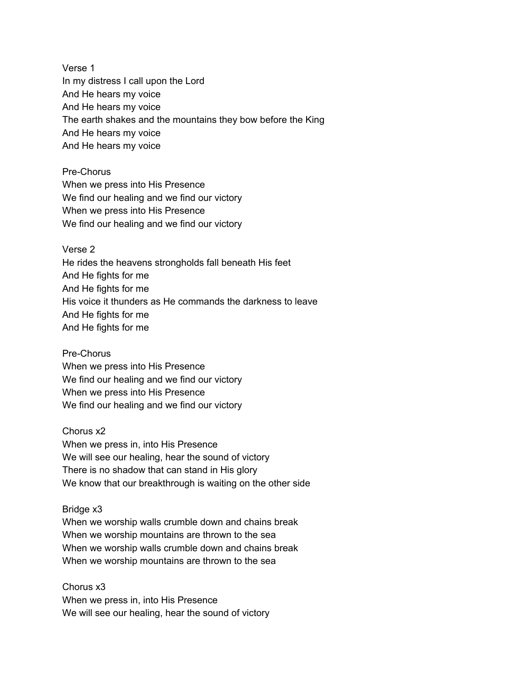Verse 1 In my distress I call upon the Lord And He hears my voice And He hears my voice The earth shakes and the mountains they bow before the King And He hears my voice And He hears my voice

Pre-Chorus When we press into His Presence We find our healing and we find our victory When we press into His Presence We find our healing and we find our victory

Verse 2

He rides the heavens strongholds fall beneath His feet And He fights for me And He fights for me His voice it thunders as He commands the darkness to leave And He fights for me And He fights for me

Pre-Chorus When we press into His Presence We find our healing and we find our victory When we press into His Presence We find our healing and we find our victory

Chorus x2 When we press in, into His Presence We will see our healing, hear the sound of victory There is no shadow that can stand in His glory We know that our breakthrough is waiting on the other side

Bridge x3 When we worship walls crumble down and chains break When we worship mountains are thrown to the sea When we worship walls crumble down and chains break When we worship mountains are thrown to the sea

Chorus x3 When we press in, into His Presence We will see our healing, hear the sound of victory